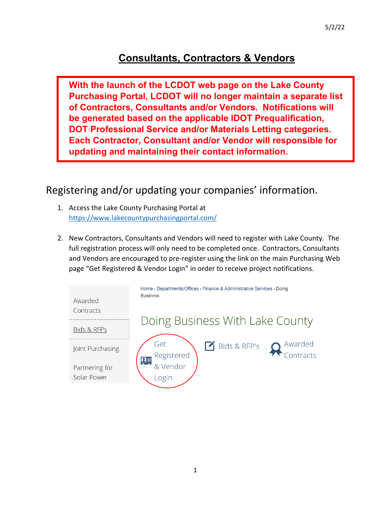# **Consultants, Contractors & Vendors**

**With the launch of the LCDOT web page on the Lake County Purchasing Portal, LCDOT will no longer maintain a separate list of Contractors, Consultants and/or Vendors. Notifications will be generated based on the applicable IDOT Prequalification, DOT Professional Service and/or Materials Letting categories. Each Contractor, Consultant and/or Vendor will responsible for updating and maintaining their contact information.**

Registering and/or updating your companies' information.

- 1. Access the Lake County Purchasing Portal at <https://www.lakecountypurchasingportal.com/>
- 2. New Contractors, Consultants and Vendors will need to register with Lake County. The full registration process will only need to be completed once. Contractors, Consultants and Vendors are encouraged to pre-register using the link on the main Purchasing Web page "Get Registered & Vendor Login" in order to receive project notifications.

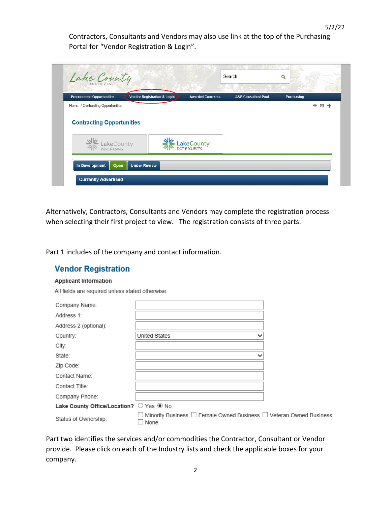Contractors, Consultants and Vendors may also use link at the top of the Purchasing Portal for "Vendor Registration & Login".

| <b>Procurement Opportunities</b>                  | <b>Vendor Registration &amp; Login</b> | <b>Awarded Contracts</b> | <b>A&amp;E Consultant Pool</b> | Purchasing |         |
|---------------------------------------------------|----------------------------------------|--------------------------|--------------------------------|------------|---------|
| Home / Contracting Opportunities                  |                                        |                          |                                |            | ê.<br>⊠ |
|                                                   |                                        |                          |                                |            |         |
| <b>Contracting Opportunities</b>                  |                                        |                          |                                |            |         |
|                                                   |                                        |                          |                                |            |         |
|                                                   |                                        |                          |                                |            |         |
| <b>Example 2</b><br><b>EXAMPLE AND PURCHASING</b> |                                        | E LakeCounty             |                                |            |         |

Alternatively, Contractors, Consultants and Vendors may complete the registration process when selecting their first project to view. The registration consists of three parts.

Part 1 includes of the company and contact information.

## **Vendor Registration**

#### **Applicant Information**

All fields are required unless stated otherwise.

| Company Name:                           |                                                                                      |  |
|-----------------------------------------|--------------------------------------------------------------------------------------|--|
| Address 1:                              |                                                                                      |  |
| Address 2 (optional):                   |                                                                                      |  |
| Country:                                | <b>United States</b><br>$\checkmark$                                                 |  |
| City:                                   |                                                                                      |  |
| State:                                  | $\checkmark$                                                                         |  |
| Zip Code:                               |                                                                                      |  |
| Contact Name:                           |                                                                                      |  |
| Contact Title:                          |                                                                                      |  |
| Company Phone:                          |                                                                                      |  |
| Lake County Office/Location? O Yes @ No |                                                                                      |  |
| Status of Ownership:                    | Minority Business $\Box$ Female Owned Business $\Box$ Veteran Owned Business<br>None |  |

Part two identifies the services and/or commodities the Contractor, Consultant or Vendor provide. Please click on each of the Industry lists and check the applicable boxes for your company.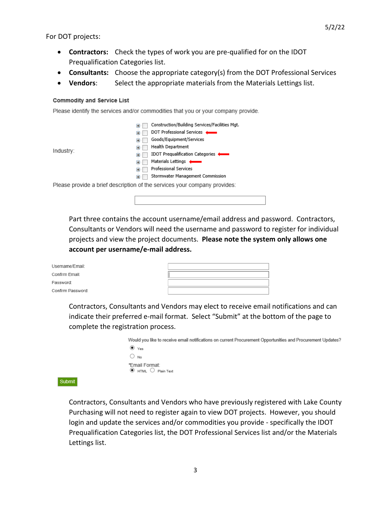- **Contractors:** Check the types of work you are pre-qualified for on the IDOT Prequalification Categories list.
- **Consultants:** Choose the appropriate category(s) from the DOT Professional Services
- **Vendors**: Select the appropriate materials from the Materials Lettings list.

### **Commodity and Service List**

Please identify the services and/or commodities that you or your company provide.

|                                                                           | Construction/Building Services/Facilities Mgt. |
|---------------------------------------------------------------------------|------------------------------------------------|
| Ŧ                                                                         | DOT Professional Services                      |
| $\overline{+}$                                                            | Goods/Equipment/Services                       |
| F.                                                                        | <b>Health Department</b>                       |
| Industry:<br>田                                                            | IDOT Prequalification Categories               |
|                                                                           | Materials Lettings                             |
| $+$                                                                       | <b>Professional Services</b>                   |
| 田                                                                         | Stormwater Management Commission               |
| Please provide a brief description of the services your company provides: |                                                |

Part three contains the account username/email address and password. Contractors, Consultants or Vendors will need the username and password to register for individual projects and view the project documents. **Please note the system only allows one account per username/e-mail address.** 

| Username/Email:   |  |
|-------------------|--|
| Confirm Email:    |  |
| Password:         |  |
| Confirm Password: |  |

Contractors, Consultants and Vendors may elect to receive email notifications and can indicate their preferred e-mail format. Select "Submit" at the bottom of the page to complete the registration process.

| Would you like to receive email notifications on current Procurement Opportunities and Procurement Updates? |
|-------------------------------------------------------------------------------------------------------------|
| $\circledcirc$ Yes                                                                                          |
| $\bigcirc$ No                                                                                               |
| *Email Format:<br>$\odot$ HTML $\bigcirc$ Plain Text                                                        |

Submit

Contractors, Consultants and Vendors who have previously registered with Lake County Purchasing will not need to register again to view DOT projects. However, you should login and update the services and/or commodities you provide - specifically the IDOT Prequalification Categories list, the DOT Professional Services list and/or the Materials Lettings list.